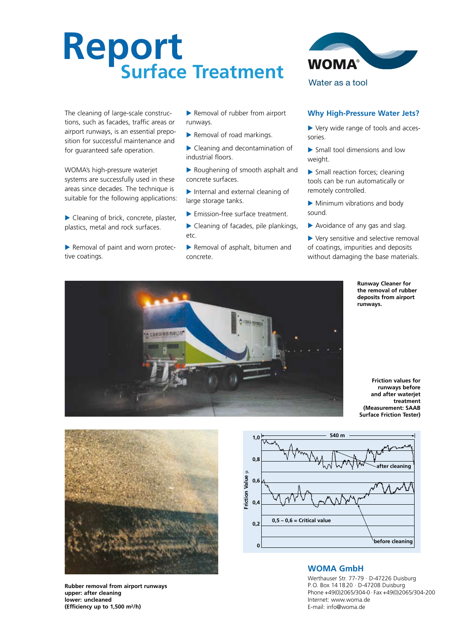# **Report Surface Treatment**

The cleaning of large-scale constructions, such as facades, traffic areas or airport runways, is an essential preposition for successful maintenance and for guaranteed safe operation.

WOMA's high-pressure waterjet systems are successfully used in these areas since decades. The technique is suitable for the following applications:

- Cleaning of brick, concrete, plaster, plastics, metal and rock surfaces.
- Removal of paint and worn protective coatings.

Removal of rubber from airport runways.

- Removal of road markings.
- Cleaning and decontamination of industrial floors.
- Roughening of smooth asphalt and concrete surfaces.
- Internal and external cleaning of large storage tanks.
- Emission-free surface treatment.
- ▶ Cleaning of facades, pile plankings, etc.
- Removal of asphalt, bitumen and concrete.



## **Why High-Pressure Water Jets?**

- Very wide range of tools and accessories.
- Small tool dimensions and low weight.
- Small reaction forces; cleaning tools can be run automatically or remotely controlled.
- Minimum vibrations and body sound.
- Avoidance of any gas and slag.
- Very sensitive and selective removal of coatings, impurities and deposits without damaging the base materials.

**Runway Cleaner for the removal of rubber deposits from airport runways.**



**Friction values for runways before and after waterjet treatment (Measurement: SAAB Surface Friction Tester)**



**Rubber removal from airport runways upper: after cleaning lower: uncleaned (Efficiency up to 1,500 m2/h)**



## **WOMA GmbH**

Werthauser Str. 77-79 · D-47226 Duisburg P.O. Box 14 18 20 · D-47208 Duisburg Phone +49(0)2065/304-0 · Fax +49(0)2065/304-200 Internet: www.woma.de E-mail: info@woma.de